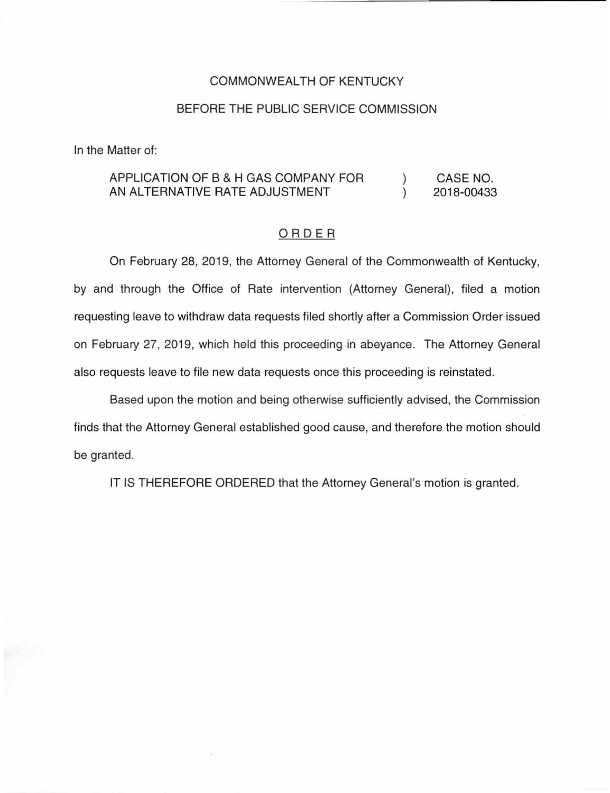## COMMONWEALTH OF KENTUCKY

## BEFORE THE PUBLIC SERVICE COMMISSION

In the Matter of:

## APPLICATION OF B & H GAS COMPANY FOR CASE NO.  $\mathcal{L}$ AN ALTERNATIVE RATE ADJUSTMENT  $\lambda$ 2018-00433

## ORDER

On February 28, 2019, the Attorney General of the Commonwealth of Kentucky, by and through the Office of Rate intervention (Attorney General), filed a motion requesting leave to withdraw data requests filed shortly after a Commission Order issued on February 27, 2019, which held this proceeding in abeyance. The Attorney General also requests leave to file new data requests once this proceeding is reinstated.

Based upon the motion and being otherwise sufficiently advised, the Commission finds that the Attorney General established good cause, and therefore the motion should be granted.

IT IS THEREFORE ORDERED that the Attorney General's motion is granted.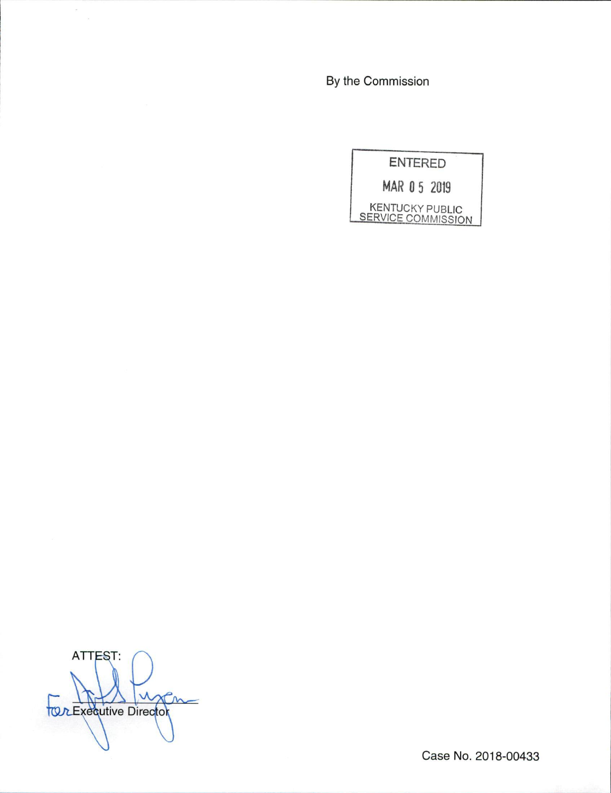By the Commission

**ENTERED** MAR 05 2019 KENTUCKY PUBLIC<br>SERVICE COMMISSION

ATTEST: uxan **TOR Executive Director** 

Case No. 2018-00433